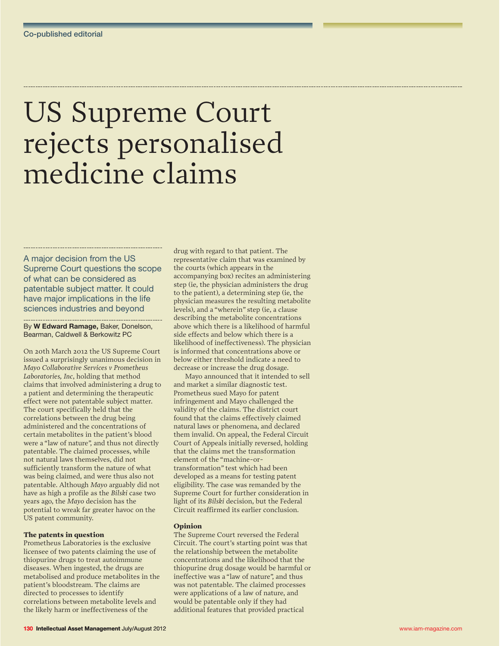# US Supreme Court rejects personalised medicine claims

A major decision from the US Supreme Court questions the scope of what can be considered as patentable subject matter. It could have major implications in the life sciences industries and beyond

By **W Edward Ramage,** Baker, Donelson, Bearman, Caldwell & Berkowitz PC

On 20th March 2012 the US Supreme Court issued a surprisingly unanimous decision in *Mayo Collaborative Services v Prometheus Laboratories, Inc*, holding that method claims that involved administering a drug to a patient and determining the therapeutic effect were not patentable subject matter. The court specifically held that the correlations between the drug being administered and the concentrations of certain metabolites in the patient's blood were a "law of nature", and thus not directly patentable. The claimed processes, while not natural laws themselves, did not sufficiently transform the nature of what was being claimed, and were thus also not patentable. Although *Mayo* arguably did not have as high a profile as the *Bilski* case two years ago, the *Mayo* decision has the potential to wreak far greater havoc on the US patent community.

# The patents in question

Prometheus Laboratories is the exclusive licensee of two patents claiming the use of thiopurine drugs to treat autoimmune diseases. When ingested, the drugs are metabolised and produce metabolites in the patient's bloodstream. The claims are directed to processes to identify correlations between metabolite levels and the likely harm or ineffectiveness of the

drug with regard to that patient. The representative claim that was examined by the courts (which appears in the accompanying box) recites an administering step (ie, the physician administers the drug to the patient), a determining step (ie, the physician measures the resulting metabolite levels), and a "wherein" step (ie, a clause describing the metabolite concentrations above which there is a likelihood of harmful side effects and below which there is a likelihood of ineffectiveness). The physician is informed that concentrations above or below either threshold indicate a need to decrease or increase the drug dosage.

Mayo announced that it intended to sell and market a similar diagnostic test. Prometheus sued Mayo for patent infringement and Mayo challenged the validity of the claims. The district court found that the claims effectively claimed natural laws or phenomena, and declared them invalid. On appeal, the Federal Circuit Court of Appeals initially reversed, holding that the claims met the transformation element of the "machine-ortransformation" test which had been developed as a means for testing patent eligibility. The case was remanded by the Supreme Court for further consideration in light of its *Bilski* decision, but the Federal Circuit reaffirmed its earlier conclusion.

# Opinion

The Supreme Court reversed the Federal Circuit. The court's starting point was that the relationship between the metabolite concentrations and the likelihood that the thiopurine drug dosage would be harmful or ineffective was a "law of nature", and thus was not patentable. The claimed processes were applications of a law of nature, and would be patentable only if they had additional features that provided practical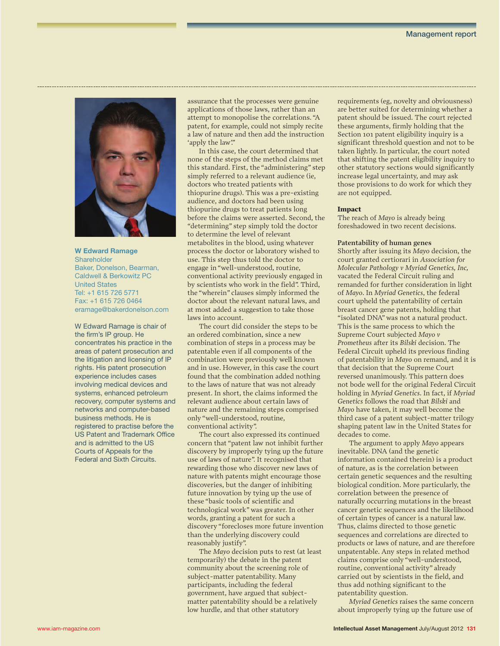

**W Edward Ramage Shareholder** Baker, Donelson, Bearman, Caldwell & Berkowitz PC United States Tel: +1 615 726 5771 Fax: +1 615 726 0464 eramage@bakerdonelson.com

W Edward Ramage is chair of the firm's IP group. He concentrates his practice in the areas of patent prosecution and the litigation and licensing of IP rights. His patent prosecution experience includes cases involving medical devices and systems, enhanced petroleum recovery, computer systems and networks and computer-based business methods. He is registered to practise before the US Patent and Trademark Office and is admitted to the US Courts of Appeals for the Federal and Sixth Circuits.

assurance that the processes were genuine applications of those laws, rather than an attempt to monopolise the correlations. "A patent, for example, could not simply recite a law of nature and then add the instruction 'apply the law'."

In this case, the court determined that none of the steps of the method claims met this standard. First, the "administering" step simply referred to a relevant audience (ie, doctors who treated patients with thiopurine drugs). This was a pre-existing audience, and doctors had been using thiopurine drugs to treat patients long before the claims were asserted. Second, the "determining" step simply told the doctor to determine the level of relevant metabolites in the blood, using whatever process the doctor or laboratory wished to use. This step thus told the doctor to engage in "well-understood, routine, conventional activity previously engaged in by scientists who work in the field". Third, the "wherein" clauses simply informed the doctor about the relevant natural laws, and at most added a suggestion to take those laws into account.

The court did consider the steps to be an ordered combination, since a new combination of steps in a process may be patentable even if all components of the combination were previously well known and in use. However, in this case the court found that the combination added nothing to the laws of nature that was not already present. In short, the claims informed the relevant audience about certain laws of nature and the remaining steps comprised only "well-understood, routine, conventional activity".

The court also expressed its continued concern that "patent law not inhibit further discovery by improperly tying up the future use of laws of nature". It recognised that rewarding those who discover new laws of nature with patents might encourage those discoveries, but the danger of inhibiting future innovation by tying up the use of these "basic tools of scientific and technological work" was greater. In other words, granting a patent for such a discovery "forecloses more future invention than the underlying discovery could reasonably justify".

The *Mayo* decision puts to rest (at least temporarily) the debate in the patent community about the screening role of subject-matter patentability. Many participants, including the federal government, have argued that subjectmatter patentability should be a relatively low hurdle, and that other statutory

requirements (eg, novelty and obviousness) are better suited for determining whether a patent should be issued. The court rejected these arguments, firmly holding that the Section 101 patent eligibility inquiry is a significant threshold question and not to be taken lightly. In particular, the court noted that shifting the patent eligibility inquiry to other statutory sections would significantly increase legal uncertainty, and may ask those provisions to do work for which they are not equipped.

#### Impact

The reach of *Mayo* is already being foreshadowed in two recent decisions.

#### **Patentability of human genes**

Shortly after issuing its *Mayo* decision, the court granted certiorari in *Association for Molecular Pathology v Myriad Genetics, Inc,* vacated the Federal Circuit ruling and remanded for further consideration in light of *Mayo*. In *Myriad Genetics*, the federal court upheld the patentability of certain breast cancer gene patents, holding that "isolated DNA" was not a natural product. This is the same process to which the Supreme Court subjected *Mayo v Prometheus* after its *Bilski* decision. The Federal Circuit upheld its previous finding of patentability in *Mayo* on remand, and it is that decision that the Supreme Court reversed unanimously. This pattern does not bode well for the original Federal Circuit holding in *Myriad Genetics*. In fact, if *Myriad Genetics* follows the road that *Bilski* and *Mayo* have taken, it may well become the third case of a patent subject-matter trilogy shaping patent law in the United States for decades to come.

The argument to apply *Mayo* appears inevitable. DNA (and the genetic information contained therein) is a product of nature, as is the correlation between certain genetic sequences and the resulting biological condition. More particularly, the correlation between the presence of naturally occurring mutations in the breast cancer genetic sequences and the likelihood of certain types of cancer is a natural law. Thus, claims directed to those genetic sequences and correlations are directed to products or laws of nature, and are therefore unpatentable. Any steps in related method claims comprise only "well-understood, routine, conventional activity" already carried out by scientists in the field, and thus add nothing significant to the patentability question.

*Myriad Genetics* raises the same concern about improperly tying up the future use of